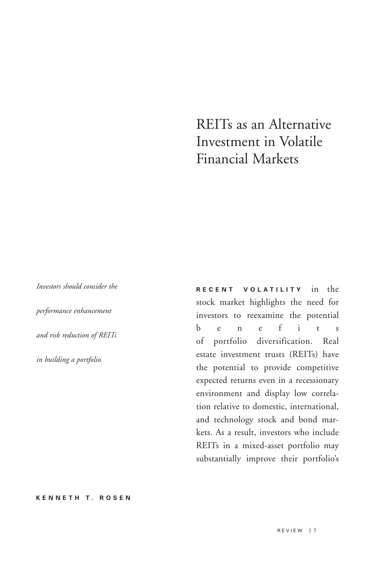# REITs as an Alternative Investment in Volatile Financial Markets

*Investors should consider the performance enhancement and risk reduction of REITs in building a portfolio.*

**RECENT VOLATILITY** in the stock market highlights the need for investors to reexamine the potential benefits of portfolio diversification. Real estate investment trusts (REITs) have the potential to provide competitive expected returns even in a recessionary environment and display low correlation relative to domestic, international, and technology stock and bond markets. As a result, investors who include REITs in a mixed-asset portfolio may substantially improve their portfolio's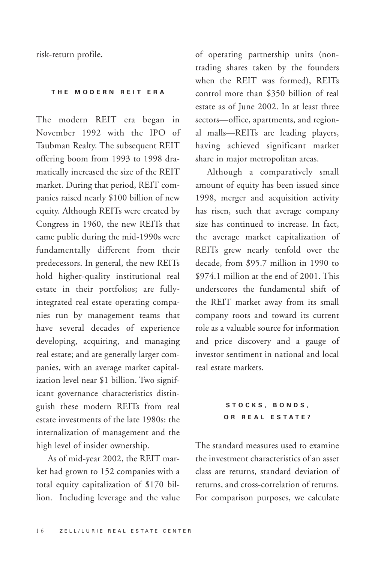risk-return profile.

#### **THE MODERN REIT ERA**

The modern REIT era began in November 1992 with the IPO of Taubman Realty. The subsequent REIT offering boom from 1993 to 1998 dramatically increased the size of the REIT market. During that period, REIT companies raised nearly \$100 billion of new equity. Although REITs were created by Congress in 1960, the new REITs that came public during the mid-1990s were fundamentally different from their predecessors. In general, the new REITs hold higher-quality institutional real estate in their portfolios; are fullyintegrated real estate operating companies run by management teams that have several decades of experience developing, acquiring, and managing real estate; and are generally larger companies, with an average market capitalization level near \$1 billion. Two significant governance characteristics distinguish these modern REITs from real estate investments of the late 1980s: the internalization of management and the high level of insider ownership.

As of mid-year 2002, the REIT market had grown to 152 companies with a total equity capitalization of \$170 billion. Including leverage and the value

of operating partnership units (nontrading shares taken by the founders when the REIT was formed), REITs control more than \$350 billion of real estate as of June 2002. In at least three sectors—office, apartments, and regional malls—REITs are leading players, having achieved significant market share in major metropolitan areas.

Although a comparatively small amount of equity has been issued since 1998, merger and acquisition activity has risen, such that average company size has continued to increase. In fact, the average market capitalization of REITs grew nearly tenfold over the decade, from \$95.7 million in 1990 to \$974.1 million at the end of 2001. This underscores the fundamental shift of the REIT market away from its small company roots and toward its current role as a valuable source for information and price discovery and a gauge of investor sentiment in national and local real estate markets.

## **STOCKS, BONDS, OR REAL ESTATE?**

The standard measures used to examine the investment characteristics of an asset class are returns, standard deviation of returns, and cross-correlation of returns. For comparison purposes, we calculate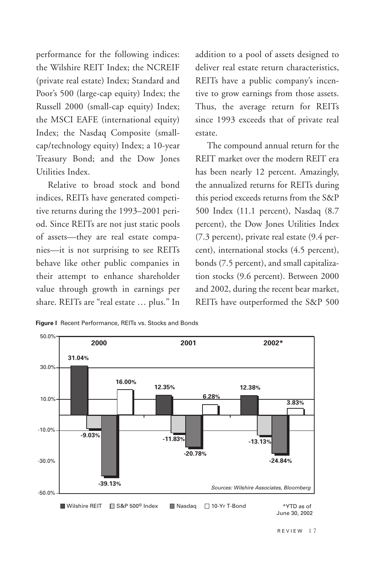performance for the following indices: the Wilshire REIT Index; the NCREIF (private real estate) Index; Standard and Poor's 500 (large-cap equity) Index; the Russell 2000 (small-cap equity) Index; the MSCI EAFE (international equity) Index; the Nasdaq Composite (smallcap/technology equity) Index; a 10-year Treasury Bond; and the Dow Jones Utilities Index.

Relative to broad stock and bond indices, REITs have generated competitive returns during the 1993–2001 period. Since REITs are not just static pools of assets—they are real estate companies—it is not surprising to see REITs behave like other public companies in their attempt to enhance shareholder value through growth in earnings per share. REITs are "real estate … plus." In addition to a pool of assets designed to deliver real estate return characteristics, REITs have a public company's incentive to grow earnings from those assets. Thus, the average return for REITs since 1993 exceeds that of private real estate.

The compound annual return for the REIT market over the modern REIT era has been nearly 12 percent. Amazingly, the annualized returns for REITs during this period exceeds returns from the S&P 500 Index (11.1 percent), Nasdaq (8.7 percent), the Dow Jones Utilities Index (7.3 percent), private real estate (9.4 percent), international stocks (4.5 percent), bonds (7.5 percent), and small capitalization stocks (9.6 percent). Between 2000 and 2002, during the recent bear market, REITs have outperformed the S&P 500



**Figure I** Recent Performance, REITs vs. Stocks and Bonds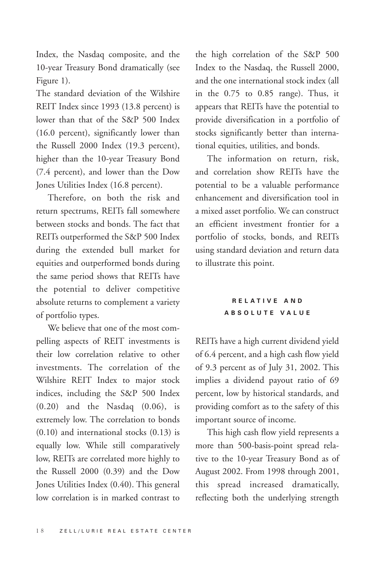Index, the Nasdaq composite, and the 10-year Treasury Bond dramatically (see Figure 1).

The standard deviation of the Wilshire REIT Index since 1993 (13.8 percent) is lower than that of the S&P 500 Index (16.0 percent), significantly lower than the Russell 2000 Index (19.3 percent), higher than the 10-year Treasury Bond (7.4 percent), and lower than the Dow Jones Utilities Index (16.8 percent).

Therefore, on both the risk and return spectrums, REITs fall somewhere between stocks and bonds. The fact that REITs outperformed the S&P 500 Index during the extended bull market for equities and outperformed bonds during the same period shows that REITs have the potential to deliver competitive absolute returns to complement a variety of portfolio types.

We believe that one of the most compelling aspects of REIT investments is their low correlation relative to other investments. The correlation of the Wilshire REIT Index to major stock indices, including the S&P 500 Index (0.20) and the Nasdaq (0.06), is extremely low. The correlation to bonds (0.10) and international stocks (0.13) is equally low. While still comparatively low, REITs are correlated more highly to the Russell 2000 (0.39) and the Dow Jones Utilities Index (0.40). This general low correlation is in marked contrast to

the high correlation of the S&P 500 Index to the Nasdaq, the Russell 2000, and the one international stock index (all in the 0.75 to 0.85 range). Thus, it appears that REITs have the potential to provide diversification in a portfolio of stocks significantly better than international equities, utilities, and bonds.

The information on return, risk, and correlation show REITs have the potential to be a valuable performance enhancement and diversification tool in a mixed asset portfolio. We can construct an efficient investment frontier for a portfolio of stocks, bonds, and REITs using standard deviation and return data to illustrate this point.

## **RELATIVE AND ABSOLUTE VALUE**

REITs have a high current dividend yield of 6.4 percent, and a high cash flow yield of 9.3 percent as of July 31, 2002. This implies a dividend payout ratio of 69 percent, low by historical standards, and providing comfort as to the safety of this important source of income.

This high cash flow yield represents a more than 500-basis-point spread relative to the 10-year Treasury Bond as of August 2002. From 1998 through 2001, this spread increased dramatically, reflecting both the underlying strength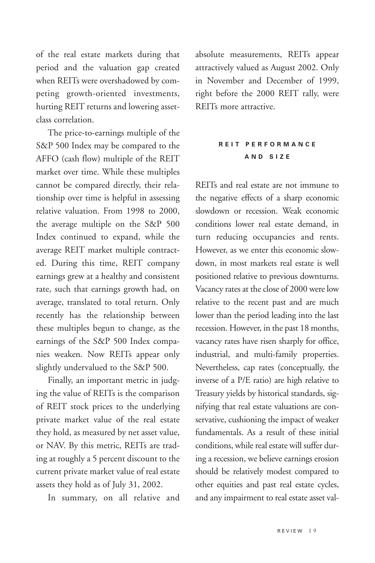of the real estate markets during that period and the valuation gap created when REITs were overshadowed by competing growth-oriented investments, hurting REIT returns and lowering assetclass correlation.

The price-to-earnings multiple of the S&P 500 Index may be compared to the AFFO (cash flow) multiple of the REIT market over time. While these multiples cannot be compared directly, their relationship over time is helpful in assessing relative valuation. From 1998 to 2000, the average multiple on the S&P 500 Index continued to expand, while the average REIT market multiple contracted. During this time, REIT company earnings grew at a healthy and consistent rate, such that earnings growth had, on average, translated to total return. Only recently has the relationship between these multiples begun to change, as the earnings of the S&P 500 Index companies weaken. Now REITs appear only slightly undervalued to the S&P 500.

Finally, an important metric in judging the value of REITs is the comparison of REIT stock prices to the underlying private market value of the real estate they hold, as measured by net asset value, or NAV. By this metric, REITs are trading at roughly a 5 percent discount to the current private market value of real estate assets they hold as of July 31, 2002.

In summary, on all relative and

absolute measurements, REITs appear attractively valued as August 2002. Only in November and December of 1999, right before the 2000 REIT rally, were REITs more attractive.

#### **REIT PERFORMANCE AND SIZE**

REITs and real estate are not immune to the negative effects of a sharp economic slowdown or recession. Weak economic conditions lower real estate demand, in turn reducing occupancies and rents. However, as we enter this economic slowdown, in most markets real estate is well positioned relative to previous downturns. Vacancy rates at the close of 2000 were low relative to the recent past and are much lower than the period leading into the last recession. However, in the past 18 months, vacancy rates have risen sharply for office, industrial, and multi-family properties. Nevertheless, cap rates (conceptually, the inverse of a P/E ratio) are high relative to Treasury yields by historical standards, signifying that real estate valuations are conservative, cushioning the impact of weaker fundamentals. As a result of these initial conditions, while real estate will suffer during a recession, we believe earnings erosion should be relatively modest compared to other equities and past real estate cycles, and any impairment to real estate asset val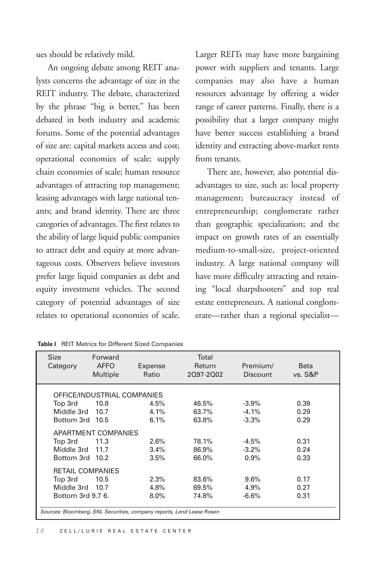ues should be relatively mild.

An ongoing debate among REIT analysts concerns the advantage of size in the REIT industry. The debate, characterized by the phrase "big is better," has been debated in both industry and academic forums. Some of the potential advantages of size are: capital markets access and cost; operational economies of scale; supply chain economies of scale; human resource advantages of attracting top management; leasing advantages with large national tenants; and brand identity. There are three categories of advantages. The first relates to the ability of large liquid public companies to attract debt and equity at more advantageous costs. Observers believe investors prefer large liquid companies as debt and equity investment vehicles. The second category of potential advantages of size relates to operational economies of scale.

Larger REITs may have more bargaining power with suppliers and tenants. Large companies may also have a human resources advantage by offering a wider range of career patterns. Finally, there is a possibility that a larger company might have better success establishing a brand identity and extracting above-market rents from tenants.

There are, however, also potential disadvantages to size, such as: local property management; bureaucracy instead of entrepreneurship; conglomerate rather than geographic specialization; and the impact on growth rates of an essentially medium-to-small-size, project-oriented industry. A large national company will have more difficulty attracting and retaining "local sharpshooters" and top real estate entrepreneurs. A national conglomerate—rather than a regional specialist—

| <b>Size</b><br>Category                                               | Forward<br><b>AFFO</b><br>Multiple | Expense<br>Ratio | Total<br>Return<br>2097-2002 | Premium/<br><b>Discount</b> | <b>Beta</b><br>vs. S&P |  |  |  |
|-----------------------------------------------------------------------|------------------------------------|------------------|------------------------------|-----------------------------|------------------------|--|--|--|
| OFFICE/INDUSTRIAL COMPANIES                                           |                                    |                  |                              |                             |                        |  |  |  |
| Top 3rd                                                               | 10.8                               | 4.5%             | 46.5%                        | $-3.9\%$                    | 0.39                   |  |  |  |
| Middle 3rd                                                            | 10.7                               | 4.1%             | 63.7%                        | $-4.1%$                     | 0.29                   |  |  |  |
| Bottom 3rd 10.5                                                       |                                    | 6.1%             | 63.8%                        | $-3.3%$                     | 0.29                   |  |  |  |
| <b>APARTMENT COMPANIES</b>                                            |                                    |                  |                              |                             |                        |  |  |  |
| Top 3rd                                                               | 11.3                               | 2.6%             | 78.1%                        | $-4.5%$                     | 0.31                   |  |  |  |
| Middle 3rd 11.7                                                       |                                    | 3.4%             | 86.9%                        | $-3.2%$                     | 0.24                   |  |  |  |
| Bottom 3rd 10.2                                                       |                                    | 3.5%             | 66.0%                        | $0.9\%$                     | 0.33                   |  |  |  |
| <b>RETAIL COMPANIES</b>                                               |                                    |                  |                              |                             |                        |  |  |  |
| Top 3rd                                                               | 10.5                               | 2.3%             | 83.6%                        | 9.6%                        | 0.17                   |  |  |  |
| Middle 3rd 10.7                                                       |                                    | 4.8%             | 69.5%                        | 4.9%                        | 0.27                   |  |  |  |
| Bottom 3rd 9.7 6.                                                     |                                    | $8.0\%$          | 74.8%                        | $-6.6%$                     | 0.31                   |  |  |  |
| Sources: Bloomberg, SNL Securities, company reports, Lend Lease Rosen |                                    |                  |                              |                             |                        |  |  |  |

| Table I REIT Metrics for Different Sized Companies |  |  |  |  |  |  |  |  |
|----------------------------------------------------|--|--|--|--|--|--|--|--|
|----------------------------------------------------|--|--|--|--|--|--|--|--|